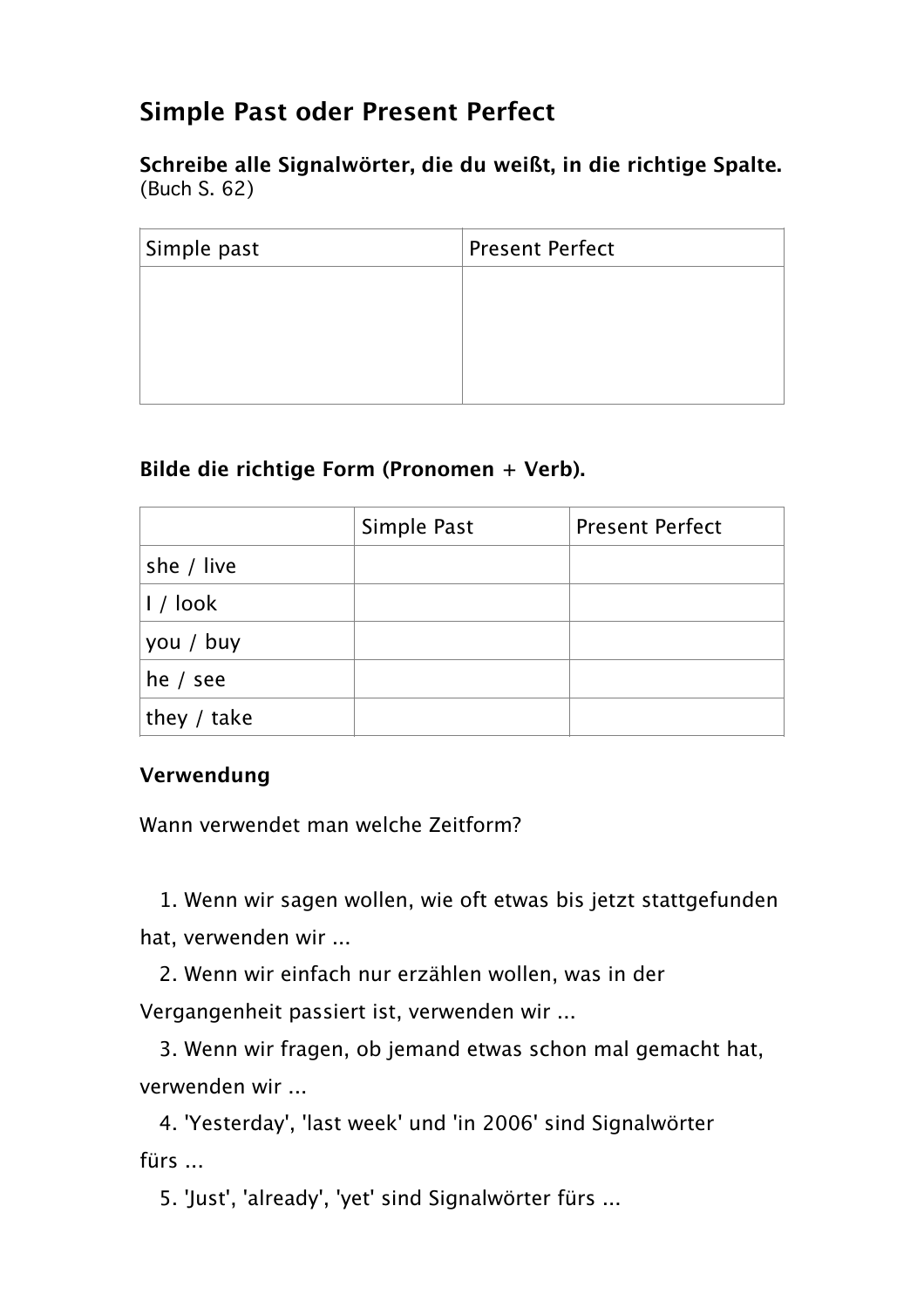# **Simple Past oder Present Perfect**

**Schreibe alle Signalwörter, die du weißt, in die richtige Spalte.** (Buch S. 62)

| Simple past | <b>Present Perfect</b> |  |
|-------------|------------------------|--|
|             |                        |  |
|             |                        |  |
|             |                        |  |
|             |                        |  |

# **Bilde die richtige Form (Pronomen + Verb).**

|               | Simple Past | <b>Present Perfect</b> |
|---------------|-------------|------------------------|
| she / live    |             |                        |
| $1/$ look     |             |                        |
| you / buy     |             |                        |
| he $/$ see    |             |                        |
| they $/$ take |             |                        |

# **Verwendung**

Wann verwendet man welche Zeitform?

 1. Wenn wir sagen wollen, wie oft etwas bis jetzt stattgefunden hat, verwenden wir ...

 2. Wenn wir einfach nur erzählen wollen, was in der Vergangenheit passiert ist, verwenden wir ...

 3. Wenn wir fragen, ob jemand etwas schon mal gemacht hat, verwenden wir ...

 4. 'Yesterday', 'last week' und 'in 2006' sind Signalwörter fürs ...

5. 'Just', 'already', 'yet' sind Signalwörter fürs ...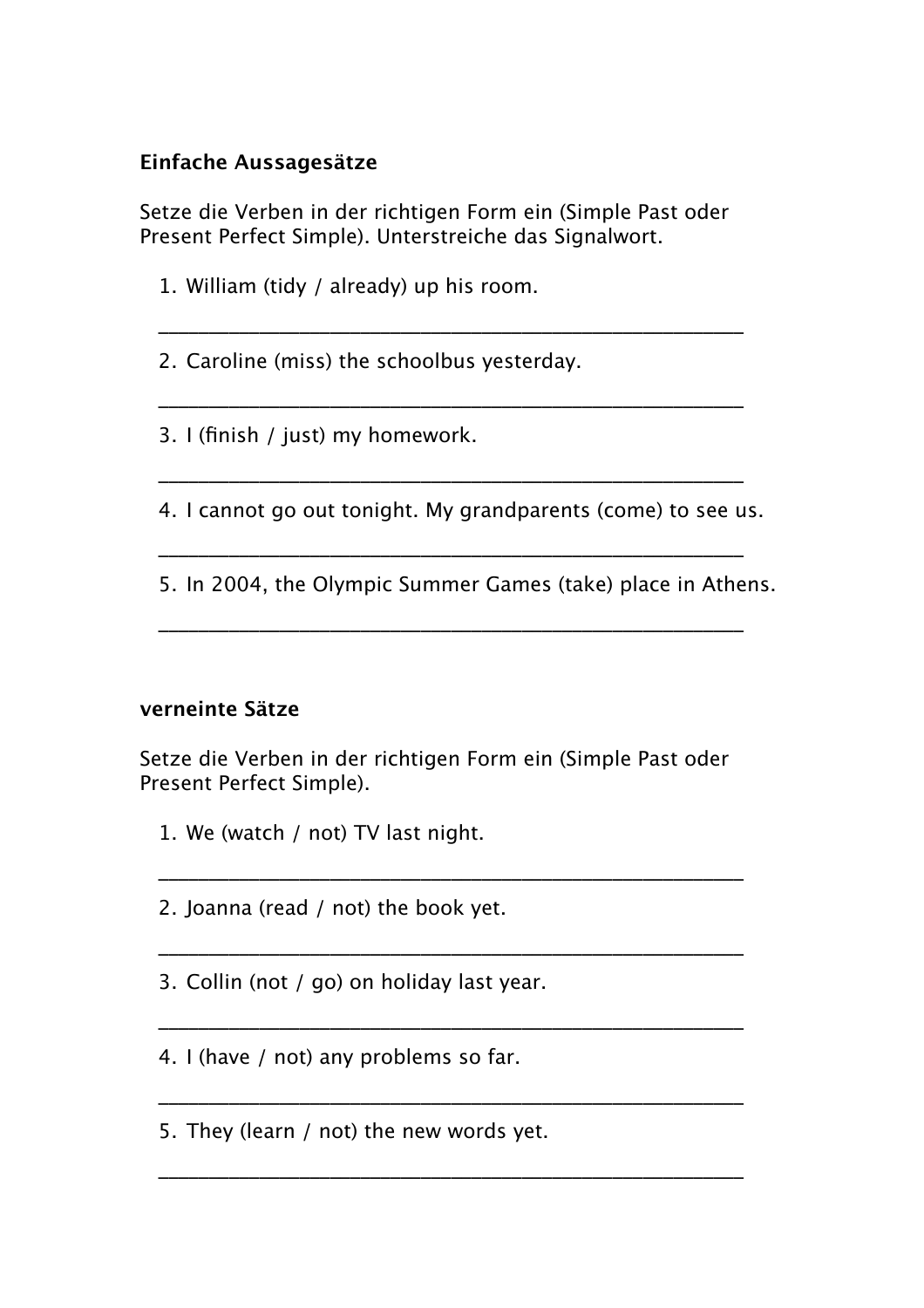## **Einfache Aussagesätze**

Setze die Verben in der richtigen Form ein (Simple Past oder Present Perfect Simple). Unterstreiche das Signalwort.

\_\_\_\_\_\_\_\_\_\_\_\_\_\_\_\_\_\_\_\_\_\_\_\_\_\_\_\_\_\_\_\_\_\_\_\_\_\_\_\_\_\_\_\_\_\_\_\_\_\_\_\_\_\_\_\_\_\_

\_\_\_\_\_\_\_\_\_\_\_\_\_\_\_\_\_\_\_\_\_\_\_\_\_\_\_\_\_\_\_\_\_\_\_\_\_\_\_\_\_\_\_\_\_\_\_\_\_\_\_\_\_\_\_\_\_\_

\_\_\_\_\_\_\_\_\_\_\_\_\_\_\_\_\_\_\_\_\_\_\_\_\_\_\_\_\_\_\_\_\_\_\_\_\_\_\_\_\_\_\_\_\_\_\_\_\_\_\_\_\_\_\_\_\_\_

\_\_\_\_\_\_\_\_\_\_\_\_\_\_\_\_\_\_\_\_\_\_\_\_\_\_\_\_\_\_\_\_\_\_\_\_\_\_\_\_\_\_\_\_\_\_\_\_\_\_\_\_\_\_\_\_\_\_

\_\_\_\_\_\_\_\_\_\_\_\_\_\_\_\_\_\_\_\_\_\_\_\_\_\_\_\_\_\_\_\_\_\_\_\_\_\_\_\_\_\_\_\_\_\_\_\_\_\_\_\_\_\_\_\_\_\_

- 1. William (tidy / already) up his room.
- 2. Caroline (miss) the schoolbus yesterday.

3. I (finish / just) my homework.

4. I cannot go out tonight. My grandparents (come) to see us.

5. In 2004, the Olympic Summer Games (take) place in Athens.

#### **verneinte Sätze**

Setze die Verben in der richtigen Form ein (Simple Past oder Present Perfect Simple).

\_\_\_\_\_\_\_\_\_\_\_\_\_\_\_\_\_\_\_\_\_\_\_\_\_\_\_\_\_\_\_\_\_\_\_\_\_\_\_\_\_\_\_\_\_\_\_\_\_\_\_\_\_\_\_\_\_\_

\_\_\_\_\_\_\_\_\_\_\_\_\_\_\_\_\_\_\_\_\_\_\_\_\_\_\_\_\_\_\_\_\_\_\_\_\_\_\_\_\_\_\_\_\_\_\_\_\_\_\_\_\_\_\_\_\_\_

\_\_\_\_\_\_\_\_\_\_\_\_\_\_\_\_\_\_\_\_\_\_\_\_\_\_\_\_\_\_\_\_\_\_\_\_\_\_\_\_\_\_\_\_\_\_\_\_\_\_\_\_\_\_\_\_\_\_

\_\_\_\_\_\_\_\_\_\_\_\_\_\_\_\_\_\_\_\_\_\_\_\_\_\_\_\_\_\_\_\_\_\_\_\_\_\_\_\_\_\_\_\_\_\_\_\_\_\_\_\_\_\_\_\_\_\_

- 1. We (watch / not) TV last night.
- 2. Joanna (read / not) the book yet.
- 3. Collin (not / go) on holiday last year.
- 4. I (have / not) any problems so far.
- 5. They (learn / not) the new words yet.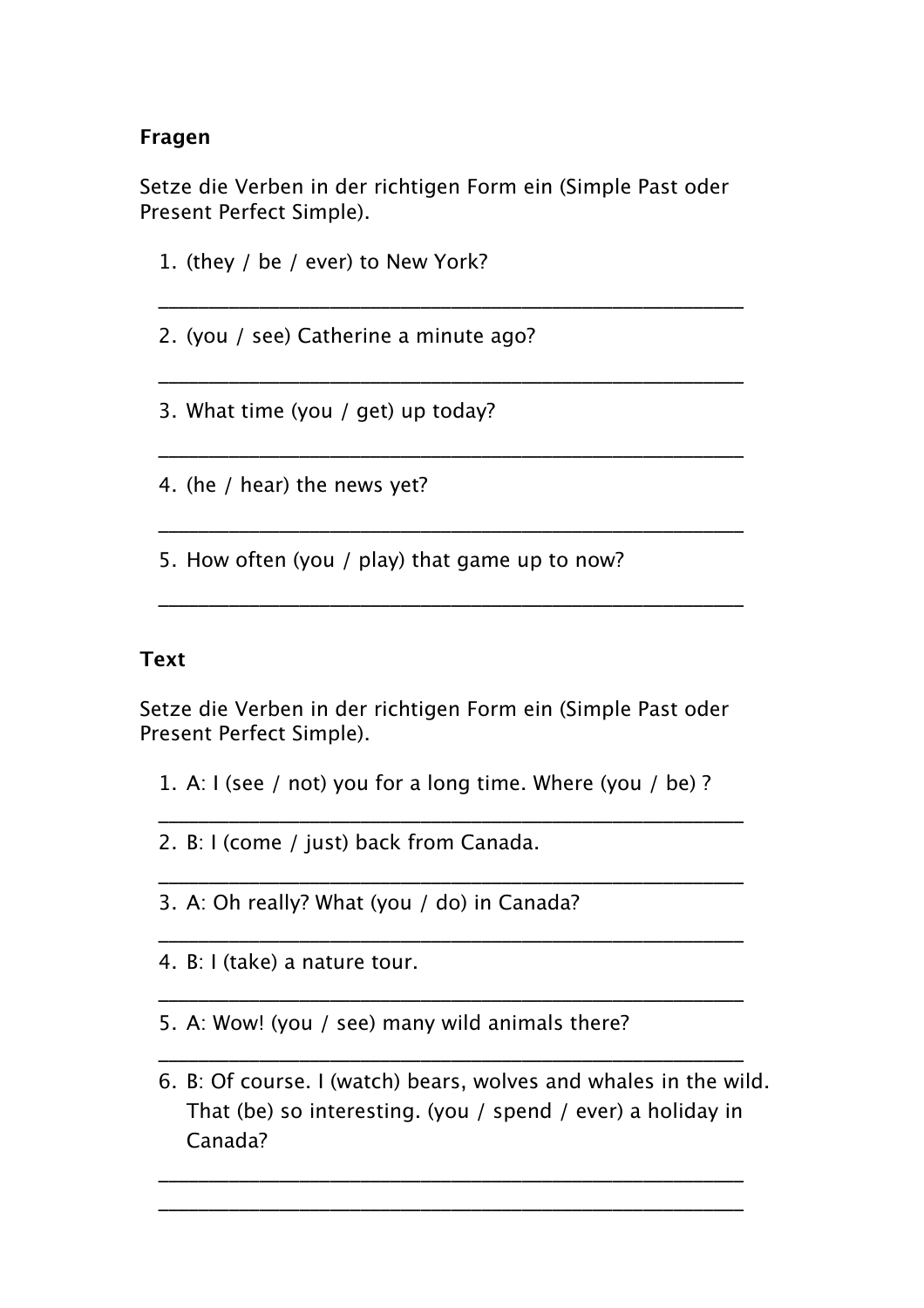## **Fragen**

Setze die Verben in der richtigen Form ein (Simple Past oder Present Perfect Simple).

\_\_\_\_\_\_\_\_\_\_\_\_\_\_\_\_\_\_\_\_\_\_\_\_\_\_\_\_\_\_\_\_\_\_\_\_\_\_\_\_\_\_\_\_\_\_\_\_\_\_\_\_\_\_\_\_\_\_

\_\_\_\_\_\_\_\_\_\_\_\_\_\_\_\_\_\_\_\_\_\_\_\_\_\_\_\_\_\_\_\_\_\_\_\_\_\_\_\_\_\_\_\_\_\_\_\_\_\_\_\_\_\_\_\_\_\_

\_\_\_\_\_\_\_\_\_\_\_\_\_\_\_\_\_\_\_\_\_\_\_\_\_\_\_\_\_\_\_\_\_\_\_\_\_\_\_\_\_\_\_\_\_\_\_\_\_\_\_\_\_\_\_\_\_\_

\_\_\_\_\_\_\_\_\_\_\_\_\_\_\_\_\_\_\_\_\_\_\_\_\_\_\_\_\_\_\_\_\_\_\_\_\_\_\_\_\_\_\_\_\_\_\_\_\_\_\_\_\_\_\_\_\_\_

\_\_\_\_\_\_\_\_\_\_\_\_\_\_\_\_\_\_\_\_\_\_\_\_\_\_\_\_\_\_\_\_\_\_\_\_\_\_\_\_\_\_\_\_\_\_\_\_\_\_\_\_\_\_\_\_\_\_

1. (they / be / ever) to New York?

2. (you / see) Catherine a minute ago?

3. What time (you / get) up today?

4. (he / hear) the news yet?

5. How often (you / play) that game up to now?

#### **Text**

Setze die Verben in der richtigen Form ein (Simple Past oder Present Perfect Simple).

1. A: I (see / not) you for a long time. Where (you / be) ?

\_\_\_\_\_\_\_\_\_\_\_\_\_\_\_\_\_\_\_\_\_\_\_\_\_\_\_\_\_\_\_\_\_\_\_\_\_\_\_\_\_\_\_\_\_\_\_\_\_\_\_\_\_\_\_\_\_\_

\_\_\_\_\_\_\_\_\_\_\_\_\_\_\_\_\_\_\_\_\_\_\_\_\_\_\_\_\_\_\_\_\_\_\_\_\_\_\_\_\_\_\_\_\_\_\_\_\_\_\_\_\_\_\_\_\_\_

\_\_\_\_\_\_\_\_\_\_\_\_\_\_\_\_\_\_\_\_\_\_\_\_\_\_\_\_\_\_\_\_\_\_\_\_\_\_\_\_\_\_\_\_\_\_\_\_\_\_\_\_\_\_\_\_\_\_

\_\_\_\_\_\_\_\_\_\_\_\_\_\_\_\_\_\_\_\_\_\_\_\_\_\_\_\_\_\_\_\_\_\_\_\_\_\_\_\_\_\_\_\_\_\_\_\_\_\_\_\_\_\_\_\_\_\_

\_\_\_\_\_\_\_\_\_\_\_\_\_\_\_\_\_\_\_\_\_\_\_\_\_\_\_\_\_\_\_\_\_\_\_\_\_\_\_\_\_\_\_\_\_\_\_\_\_\_\_\_\_\_\_\_\_\_

\_\_\_\_\_\_\_\_\_\_\_\_\_\_\_\_\_\_\_\_\_\_\_\_\_\_\_\_\_\_\_\_\_\_\_\_\_\_\_\_\_\_\_\_\_\_\_\_\_\_\_\_\_\_\_\_\_\_ \_\_\_\_\_\_\_\_\_\_\_\_\_\_\_\_\_\_\_\_\_\_\_\_\_\_\_\_\_\_\_\_\_\_\_\_\_\_\_\_\_\_\_\_\_\_\_\_\_\_\_\_\_\_\_\_\_\_

- 2. B: I (come / just) back from Canada.
- 3. A: Oh really? What (you / do) in Canada?
- 4. B: I (take) a nature tour.
- 5. A: Wow! (you / see) many wild animals there?
- 6. B: Of course. I (watch) bears, wolves and whales in the wild. That (be) so interesting. (you / spend / ever) a holiday in Canada?